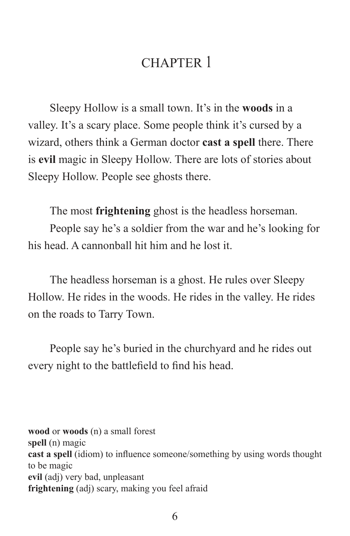# CHAPTER 1

Sleepy Hollow is a small town. It's in the **woods** in a valley. It's a scary place. Some people think it's cursed by a wizard, others think a German doctor **cast a spell** there. There is **evil** magic in Sleepy Hollow. There are lots of stories about Sleepy Hollow. People see ghosts there.

The most **frightening** ghost is the headless horseman.

People say he's a soldier from the war and he's looking for his head. A cannonball hit him and he lost it.

The headless horseman is a ghost. He rules over Sleepy Hollow. He rides in the woods. He rides in the valley. He rides on the roads to Tarry Town.

People say he's buried in the churchyard and he rides out every night to the battlefield to find his head.

**wood** or **woods** (n) a small forest **<sup>s</sup>pell** (n) magic **cast a spell** (idiom) to influence someone/something by using words thought to be magic **evil** (adj) very bad, unpleasant **frightening** (adj) scary, making you feel afraid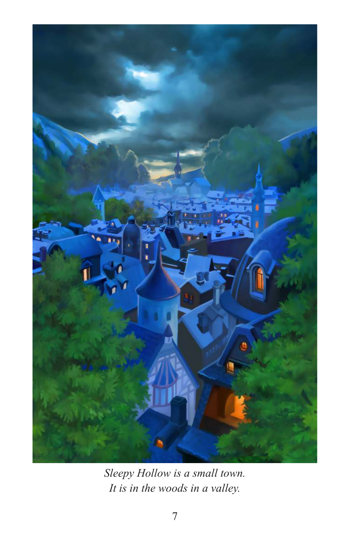

*Sleepy Hollow is a small town. It is in the woods in a valley.*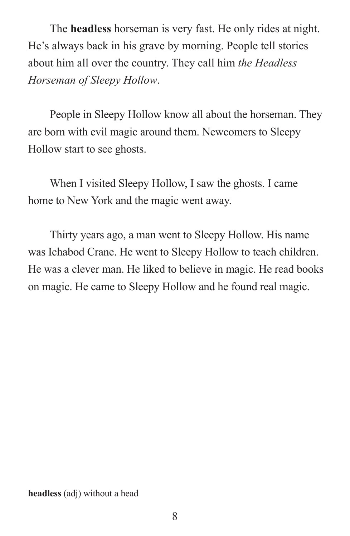The **headless** horseman is very fast. He only rides at night. He's always back in his grave by morning. People tell stories about him all over the country. They call him *the Headless Horseman of Sleepy Hollow*.

People in Sleepy Hollow know all about the horseman. They are born with evil magic around them. Newcomers to Sleepy Hollow start to see ghosts.

When I visited Sleepy Hollow, I saw the ghosts. I came home to New York and the magic went away.

Thirty years ago, a man went to Sleepy Hollow. His name was Ichabod Crane. He went to Sleepy Hollow to teach children. He was a clever man. He liked to believe in magic. He read books on magic. He came to Sleepy Hollow and he found real magic.

**headless** (adj) without a head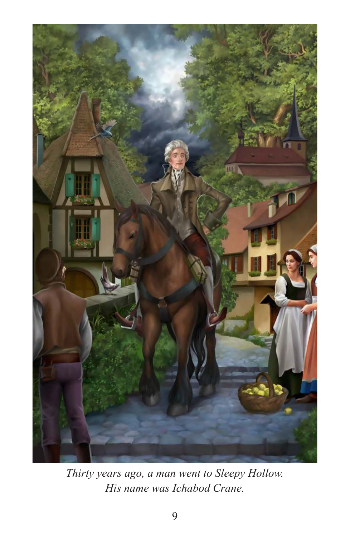

*Thirty years ago, a man went to Sleepy Hollow. His name was Ichabod Crane.*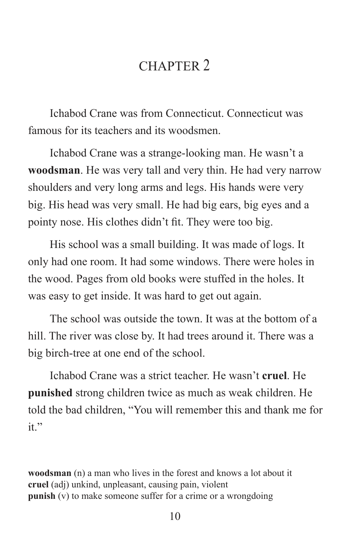## CHAPTER 2

Ichabod Crane was from Connecticut. Connecticut was famous for its teachers and its woodsmen.

Ichabod Crane was a strange-looking man. He wasn't a **woodsman**. He was very tall and very thin. He had very narrow shoulders and very long arms and legs. His hands were very big. His head was very small. He had big ears, big eyes and a pointy nose. His clothes didn't fit. They were too big.

His school was a small building. It was made of logs. It only had one room. It had some windows. There were holes in the wood. Pages from old books were stuffed in the holes. It was easy to get inside. It was hard to get out again.

The school was outside the town. It was at the bottom of a hill. The river was close by. It had trees around it. There was a big birch-tree at one end of the school.

Ichabod Crane was a strict teacher. He wasn't **cruel**. He **punished** strong children twice as much as weak children. He told the bad children, "You will remember this and thank me for it."

**woodsman** (n) a man who lives in the forest and knows a lot about it **cruel** (adj) unkind, unpleasant, causing pain, violent **punish** (v) to make someone suffer for a crime or a wrongdoing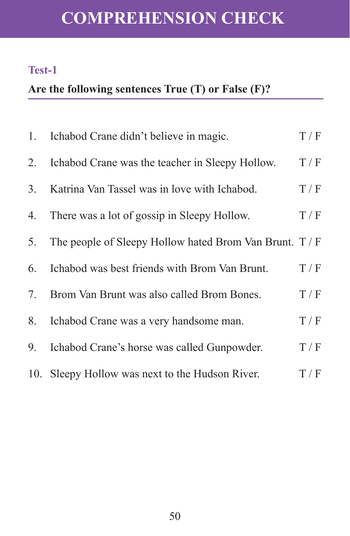# **COMPREHENSION CHECK**

#### **Test-1**

## **Are the following sentences True (T) or False (F)?**

|                | 1. Ichabod Crane didn't believe in magic.             | T/F |
|----------------|-------------------------------------------------------|-----|
| 2.             | Ichabod Crane was the teacher in Sleepy Hollow.       | T/F |
| 3 <sub>1</sub> | Katrina Van Tassel was in love with Ichabod.          | T/F |
| 4.             | There was a lot of gossip in Sleepy Hollow.           | T/F |
| 5.             | The people of Sleepy Hollow hated Brom Van Brunt. T/F |     |
| 6.             | Ichabod was best friends with Brom Van Brunt.         | T/F |
| 7.             | Brom Van Brunt was also called Brom Bones.            | T/F |
| 8.             | Ichabod Crane was a very handsome man.                | T/F |
| 9.             | Ichabod Crane's horse was called Gunpowder.           | T/F |
|                | 10. Sleepy Hollow was next to the Hudson River.       | T/F |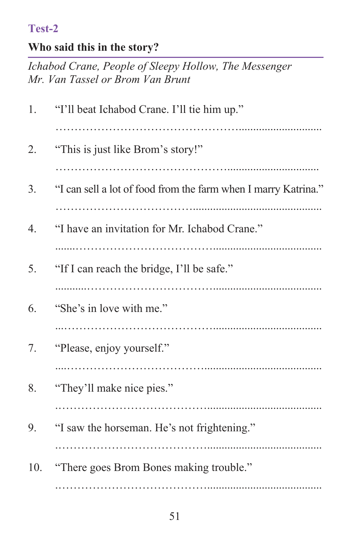#### **Test-2**

#### **Who said this in the story?**

*Ichabod Crane, People of Sleepy Hollow, The Messenger Mr. Van Tassel or Brom Van Brunt*

| 1.               | "I'll beat Ichabod Crane. I'll tie him up."                    |
|------------------|----------------------------------------------------------------|
| 2.               | "This is just like Brom's story!"                              |
| 3.               | "I can sell a lot of food from the farm when I marry Katrina." |
| $\overline{4}$ . | "I have an invitation for Mr. Ichabod Crane."                  |
| 5.               | "If I can reach the bridge, I'll be safe."                     |
| 6.               | "She's in love with me."                                       |
| 7.               | "Please, enjoy yourself."                                      |
| 8.               | "They'll make nice pies."                                      |
| 9.               | "I saw the horseman. He's not frightening."                    |
| 10.              | "There goes Brom Bones making trouble."                        |
|                  |                                                                |